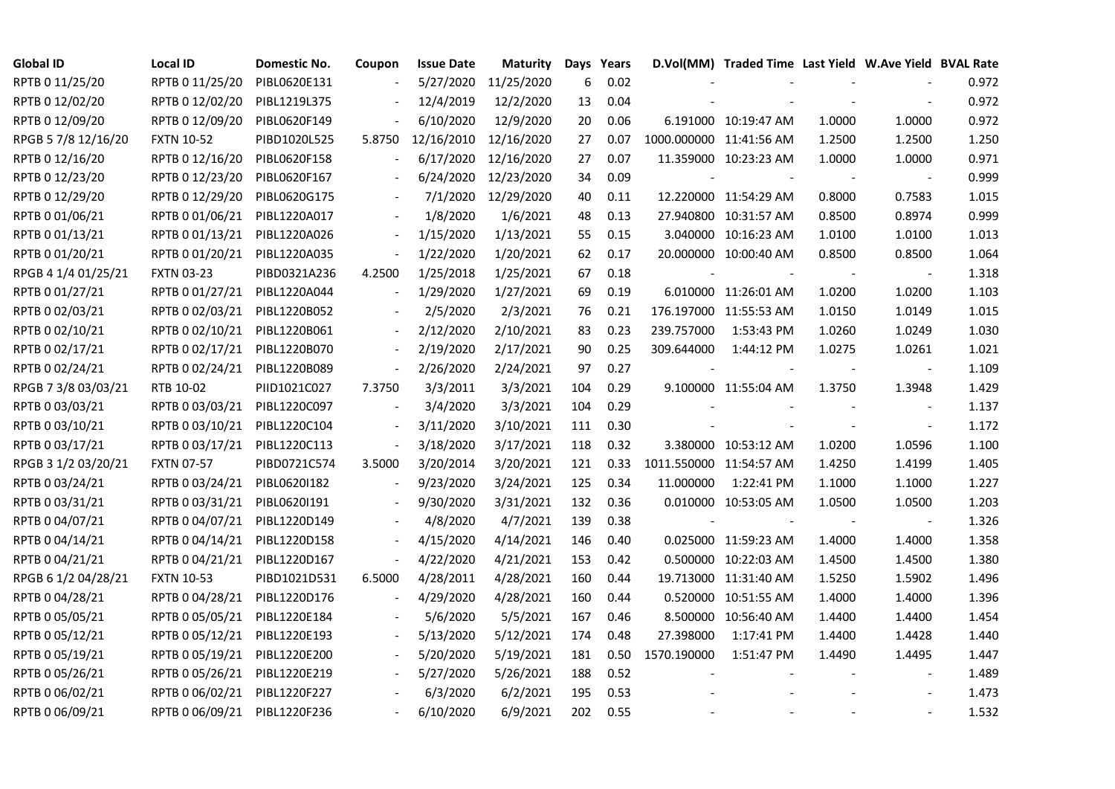| <b>Global ID</b>    | Local ID                     | Domestic No. | Coupon                   | <b>Issue Date</b> | Maturity   |     | Days Years |                         | D.Vol(MM) Traded Time Last Yield W.Ave Yield BVAL Rate |        |                |       |
|---------------------|------------------------------|--------------|--------------------------|-------------------|------------|-----|------------|-------------------------|--------------------------------------------------------|--------|----------------|-------|
| RPTB 0 11/25/20     | RPTB 0 11/25/20              | PIBL0620E131 |                          | 5/27/2020         | 11/25/2020 | 6   | 0.02       |                         |                                                        |        |                | 0.972 |
| RPTB 0 12/02/20     | RPTB 0 12/02/20              | PIBL1219L375 |                          | 12/4/2019         | 12/2/2020  | 13  | 0.04       |                         |                                                        |        |                | 0.972 |
| RPTB 0 12/09/20     | RPTB 0 12/09/20              | PIBL0620F149 |                          | 6/10/2020         | 12/9/2020  | 20  | 0.06       |                         | 6.191000 10:19:47 AM                                   | 1.0000 | 1.0000         | 0.972 |
| RPGB 5 7/8 12/16/20 | <b>FXTN 10-52</b>            | PIBD1020L525 | 5.8750                   | 12/16/2010        | 12/16/2020 | 27  | 0.07       |                         | 1000.000000 11:41:56 AM                                | 1.2500 | 1.2500         | 1.250 |
| RPTB 0 12/16/20     | RPTB 0 12/16/20              | PIBL0620F158 | $\blacksquare$           | 6/17/2020         | 12/16/2020 | 27  | 0.07       |                         | 11.359000 10:23:23 AM                                  | 1.0000 | 1.0000         | 0.971 |
| RPTB 0 12/23/20     | RPTB 0 12/23/20              | PIBL0620F167 |                          | 6/24/2020         | 12/23/2020 | 34  | 0.09       |                         |                                                        |        |                | 0.999 |
| RPTB 0 12/29/20     | RPTB 0 12/29/20              | PIBL0620G175 |                          | 7/1/2020          | 12/29/2020 | 40  | 0.11       |                         | 12.220000 11:54:29 AM                                  | 0.8000 | 0.7583         | 1.015 |
| RPTB 0 01/06/21     | RPTB 0 01/06/21              | PIBL1220A017 |                          | 1/8/2020          | 1/6/2021   | 48  | 0.13       |                         | 27.940800 10:31:57 AM                                  | 0.8500 | 0.8974         | 0.999 |
| RPTB 0 01/13/21     | RPTB 0 01/13/21              | PIBL1220A026 |                          | 1/15/2020         | 1/13/2021  | 55  | 0.15       |                         | 3.040000 10:16:23 AM                                   | 1.0100 | 1.0100         | 1.013 |
| RPTB 0 01/20/21     | RPTB 0 01/20/21              | PIBL1220A035 | $\overline{\phantom{a}}$ | 1/22/2020         | 1/20/2021  | 62  | 0.17       |                         | 20.000000 10:00:40 AM                                  | 0.8500 | 0.8500         | 1.064 |
| RPGB 4 1/4 01/25/21 | <b>FXTN 03-23</b>            | PIBD0321A236 | 4.2500                   | 1/25/2018         | 1/25/2021  | 67  | 0.18       |                         |                                                        |        |                | 1.318 |
| RPTB 0 01/27/21     | RPTB 0 01/27/21              | PIBL1220A044 | $\overline{a}$           | 1/29/2020         | 1/27/2021  | 69  | 0.19       |                         | 6.010000 11:26:01 AM                                   | 1.0200 | 1.0200         | 1.103 |
| RPTB 0 02/03/21     | RPTB 0 02/03/21              | PIBL1220B052 |                          | 2/5/2020          | 2/3/2021   | 76  | 0.21       |                         | 176.197000 11:55:53 AM                                 | 1.0150 | 1.0149         | 1.015 |
| RPTB 0 02/10/21     | RPTB 0 02/10/21              | PIBL1220B061 |                          | 2/12/2020         | 2/10/2021  | 83  | 0.23       | 239.757000              | 1:53:43 PM                                             | 1.0260 | 1.0249         | 1.030 |
| RPTB 0 02/17/21     | RPTB 0 02/17/21              | PIBL1220B070 |                          | 2/19/2020         | 2/17/2021  | 90  | 0.25       | 309.644000              | 1:44:12 PM                                             | 1.0275 | 1.0261         | 1.021 |
| RPTB 0 02/24/21     | RPTB 0 02/24/21              | PIBL1220B089 |                          | 2/26/2020         | 2/24/2021  | 97  | 0.27       |                         |                                                        |        |                | 1.109 |
| RPGB 7 3/8 03/03/21 | RTB 10-02                    | PIID1021C027 | 7.3750                   | 3/3/2011          | 3/3/2021   | 104 | 0.29       |                         | 9.100000 11:55:04 AM                                   | 1.3750 | 1.3948         | 1.429 |
| RPTB 0 03/03/21     | RPTB 0 03/03/21              | PIBL1220C097 | $\blacksquare$           | 3/4/2020          | 3/3/2021   | 104 | 0.29       |                         |                                                        |        |                | 1.137 |
| RPTB 0 03/10/21     | RPTB 0 03/10/21              | PIBL1220C104 | $\blacksquare$           | 3/11/2020         | 3/10/2021  | 111 | 0.30       |                         |                                                        |        | $\blacksquare$ | 1.172 |
| RPTB 0 03/17/21     | RPTB 0 03/17/21              | PIBL1220C113 | $\blacksquare$           | 3/18/2020         | 3/17/2021  | 118 | 0.32       |                         | 3.380000 10:53:12 AM                                   | 1.0200 | 1.0596         | 1.100 |
| RPGB 3 1/2 03/20/21 | <b>FXTN 07-57</b>            | PIBD0721C574 | 3.5000                   | 3/20/2014         | 3/20/2021  | 121 | 0.33       | 1011.550000 11:54:57 AM |                                                        | 1.4250 | 1.4199         | 1.405 |
| RPTB 0 03/24/21     | RPTB 0 03/24/21              | PIBL0620I182 | $\frac{1}{2}$            | 9/23/2020         | 3/24/2021  | 125 | 0.34       | 11.000000               | 1:22:41 PM                                             | 1.1000 | 1.1000         | 1.227 |
| RPTB 0 03/31/21     | RPTB 0 03/31/21              | PIBL0620I191 |                          | 9/30/2020         | 3/31/2021  | 132 | 0.36       |                         | 0.010000 10:53:05 AM                                   | 1.0500 | 1.0500         | 1.203 |
| RPTB 0 04/07/21     | RPTB 0 04/07/21              | PIBL1220D149 |                          | 4/8/2020          | 4/7/2021   | 139 | 0.38       |                         |                                                        |        |                | 1.326 |
| RPTB 0 04/14/21     | RPTB 0 04/14/21              | PIBL1220D158 | $\overline{\phantom{a}}$ | 4/15/2020         | 4/14/2021  | 146 | 0.40       |                         | 0.025000 11:59:23 AM                                   | 1.4000 | 1.4000         | 1.358 |
| RPTB 0 04/21/21     | RPTB 0 04/21/21              | PIBL1220D167 | $\blacksquare$           | 4/22/2020         | 4/21/2021  | 153 | 0.42       |                         | 0.500000 10:22:03 AM                                   | 1.4500 | 1.4500         | 1.380 |
| RPGB 6 1/2 04/28/21 | <b>FXTN 10-53</b>            | PIBD1021D531 | 6.5000                   | 4/28/2011         | 4/28/2021  | 160 | 0.44       |                         | 19.713000 11:31:40 AM                                  | 1.5250 | 1.5902         | 1.496 |
| RPTB 0 04/28/21     | RPTB 0 04/28/21              | PIBL1220D176 | $\overline{\phantom{a}}$ | 4/29/2020         | 4/28/2021  | 160 | 0.44       |                         | 0.520000 10:51:55 AM                                   | 1.4000 | 1.4000         | 1.396 |
| RPTB 0 05/05/21     | RPTB 0 05/05/21              | PIBL1220E184 |                          | 5/6/2020          | 5/5/2021   | 167 | 0.46       |                         | 8.500000 10:56:40 AM                                   | 1.4400 | 1.4400         | 1.454 |
| RPTB 0 05/12/21     | RPTB 0 05/12/21              | PIBL1220E193 |                          | 5/13/2020         | 5/12/2021  | 174 | 0.48       | 27.398000               | 1:17:41 PM                                             | 1.4400 | 1.4428         | 1.440 |
| RPTB 0 05/19/21     | RPTB 0 05/19/21              | PIBL1220E200 |                          | 5/20/2020         | 5/19/2021  | 181 | 0.50       | 1570.190000             | 1:51:47 PM                                             | 1.4490 | 1.4495         | 1.447 |
| RPTB 0 05/26/21     | RPTB 0 05/26/21              | PIBL1220E219 |                          | 5/27/2020         | 5/26/2021  | 188 | 0.52       |                         |                                                        |        |                | 1.489 |
| RPTB 0 06/02/21     | RPTB 0 06/02/21              | PIBL1220F227 |                          | 6/3/2020          | 6/2/2021   | 195 | 0.53       |                         |                                                        |        |                | 1.473 |
| RPTB 0 06/09/21     | RPTB 0 06/09/21 PIBL1220F236 |              |                          | 6/10/2020         | 6/9/2021   | 202 | 0.55       |                         |                                                        |        |                | 1.532 |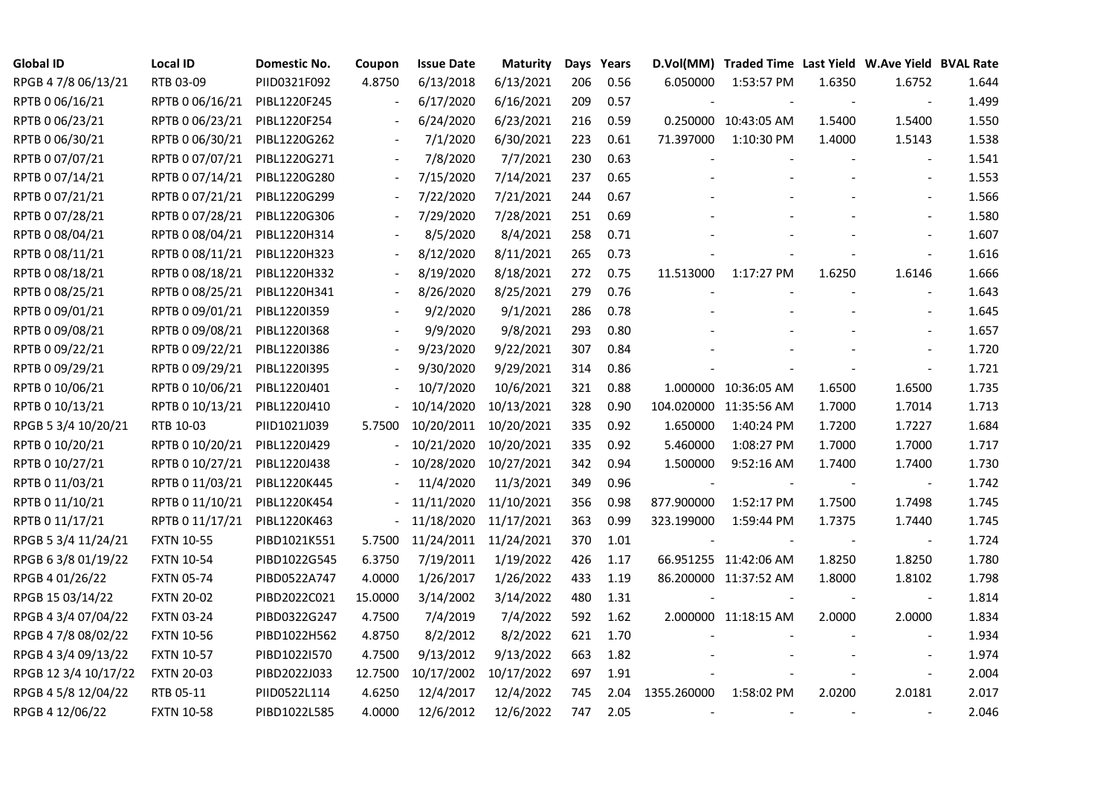| <b>Global ID</b>     | <b>Local ID</b>   | Domestic No. | Coupon                   | <b>Issue Date</b>     | <b>Maturity</b> |     | Days Years |             | D.Vol(MM) Traded Time Last Yield W.Ave Yield BVAL Rate |        |                          |       |
|----------------------|-------------------|--------------|--------------------------|-----------------------|-----------------|-----|------------|-------------|--------------------------------------------------------|--------|--------------------------|-------|
| RPGB 4 7/8 06/13/21  | RTB 03-09         | PIID0321F092 | 4.8750                   | 6/13/2018             | 6/13/2021       | 206 | 0.56       | 6.050000    | 1:53:57 PM                                             | 1.6350 | 1.6752                   | 1.644 |
| RPTB 0 06/16/21      | RPTB 0 06/16/21   | PIBL1220F245 |                          | 6/17/2020             | 6/16/2021       | 209 | 0.57       |             |                                                        |        | $\sim$                   | 1.499 |
| RPTB 0 06/23/21      | RPTB 0 06/23/21   | PIBL1220F254 |                          | 6/24/2020             | 6/23/2021       | 216 | 0.59       |             | 0.250000 10:43:05 AM                                   | 1.5400 | 1.5400                   | 1.550 |
| RPTB 0 06/30/21      | RPTB 0 06/30/21   | PIBL1220G262 | $\blacksquare$           | 7/1/2020              | 6/30/2021       | 223 | 0.61       | 71.397000   | 1:10:30 PM                                             | 1.4000 | 1.5143                   | 1.538 |
| RPTB 0 07/07/21      | RPTB 0 07/07/21   | PIBL1220G271 |                          | 7/8/2020              | 7/7/2021        | 230 | 0.63       |             |                                                        |        |                          | 1.541 |
| RPTB 0 07/14/21      | RPTB 0 07/14/21   | PIBL1220G280 |                          | 7/15/2020             | 7/14/2021       | 237 | 0.65       |             |                                                        |        | $\blacksquare$           | 1.553 |
| RPTB 0 07/21/21      | RPTB 0 07/21/21   | PIBL1220G299 |                          | 7/22/2020             | 7/21/2021       | 244 | 0.67       |             |                                                        |        |                          | 1.566 |
| RPTB 0 07/28/21      | RPTB 0 07/28/21   | PIBL1220G306 |                          | 7/29/2020             | 7/28/2021       | 251 | 0.69       |             |                                                        |        |                          | 1.580 |
| RPTB 0 08/04/21      | RPTB 0 08/04/21   | PIBL1220H314 |                          | 8/5/2020              | 8/4/2021        | 258 | 0.71       |             |                                                        |        |                          | 1.607 |
| RPTB 0 08/11/21      | RPTB 0 08/11/21   | PIBL1220H323 |                          | 8/12/2020             | 8/11/2021       | 265 | 0.73       |             |                                                        |        |                          | 1.616 |
| RPTB 0 08/18/21      | RPTB 0 08/18/21   | PIBL1220H332 |                          | 8/19/2020             | 8/18/2021       | 272 | 0.75       | 11.513000   | 1:17:27 PM                                             | 1.6250 | 1.6146                   | 1.666 |
| RPTB 0 08/25/21      | RPTB 0 08/25/21   | PIBL1220H341 |                          | 8/26/2020             | 8/25/2021       | 279 | 0.76       |             |                                                        |        |                          | 1.643 |
| RPTB 0 09/01/21      | RPTB 0 09/01/21   | PIBL1220I359 |                          | 9/2/2020              | 9/1/2021        | 286 | 0.78       |             |                                                        |        |                          | 1.645 |
| RPTB 0 09/08/21      | RPTB 0 09/08/21   | PIBL1220I368 |                          | 9/9/2020              | 9/8/2021        | 293 | 0.80       |             |                                                        |        | $\sim$                   | 1.657 |
| RPTB 0 09/22/21      | RPTB 0 09/22/21   | PIBL1220I386 |                          | 9/23/2020             | 9/22/2021       | 307 | 0.84       |             |                                                        |        | $\sim$                   | 1.720 |
| RPTB 0 09/29/21      | RPTB 0 09/29/21   | PIBL1220I395 |                          | 9/30/2020             | 9/29/2021       | 314 | 0.86       |             |                                                        |        |                          | 1.721 |
| RPTB 0 10/06/21      | RPTB 0 10/06/21   | PIBL1220J401 |                          | 10/7/2020             | 10/6/2021       | 321 | 0.88       |             | 1.000000 10:36:05 AM                                   | 1.6500 | 1.6500                   | 1.735 |
| RPTB 0 10/13/21      | RPTB 0 10/13/21   | PIBL1220J410 |                          | 10/14/2020            | 10/13/2021      | 328 | 0.90       |             | 104.020000 11:35:56 AM                                 | 1.7000 | 1.7014                   | 1.713 |
| RPGB 5 3/4 10/20/21  | RTB 10-03         | PIID1021J039 | 5.7500                   | 10/20/2011            | 10/20/2021      | 335 | 0.92       | 1.650000    | 1:40:24 PM                                             | 1.7200 | 1.7227                   | 1.684 |
| RPTB 0 10/20/21      | RPTB 0 10/20/21   | PIBL1220J429 |                          | 10/21/2020            | 10/20/2021      | 335 | 0.92       | 5.460000    | 1:08:27 PM                                             | 1.7000 | 1.7000                   | 1.717 |
| RPTB 0 10/27/21      | RPTB 0 10/27/21   | PIBL1220J438 |                          | 10/28/2020            | 10/27/2021      | 342 | 0.94       | 1.500000    | 9:52:16 AM                                             | 1.7400 | 1.7400                   | 1.730 |
| RPTB 0 11/03/21      | RPTB 0 11/03/21   | PIBL1220K445 |                          | 11/4/2020             | 11/3/2021       | 349 | 0.96       |             |                                                        |        | $\overline{\phantom{a}}$ | 1.742 |
| RPTB 0 11/10/21      | RPTB 0 11/10/21   | PIBL1220K454 |                          | 11/11/2020            | 11/10/2021      | 356 | 0.98       | 877.900000  | 1:52:17 PM                                             | 1.7500 | 1.7498                   | 1.745 |
| RPTB 0 11/17/21      | RPTB 0 11/17/21   | PIBL1220K463 | $\overline{\phantom{0}}$ | 11/18/2020            | 11/17/2021      | 363 | 0.99       | 323.199000  | 1:59:44 PM                                             | 1.7375 | 1.7440                   | 1.745 |
| RPGB 5 3/4 11/24/21  | <b>FXTN 10-55</b> | PIBD1021K551 | 5.7500                   | 11/24/2011 11/24/2021 |                 | 370 | 1.01       |             |                                                        |        | $\overline{\phantom{a}}$ | 1.724 |
| RPGB 63/8 01/19/22   | <b>FXTN 10-54</b> | PIBD1022G545 | 6.3750                   | 7/19/2011             | 1/19/2022       | 426 | 1.17       |             | 66.951255 11:42:06 AM                                  | 1.8250 | 1.8250                   | 1.780 |
| RPGB 4 01/26/22      | <b>FXTN 05-74</b> | PIBD0522A747 | 4.0000                   | 1/26/2017             | 1/26/2022       | 433 | 1.19       |             | 86.200000 11:37:52 AM                                  | 1.8000 | 1.8102                   | 1.798 |
| RPGB 15 03/14/22     | <b>FXTN 20-02</b> | PIBD2022C021 | 15.0000                  | 3/14/2002             | 3/14/2022       | 480 | 1.31       |             |                                                        |        | $\blacksquare$           | 1.814 |
| RPGB 4 3/4 07/04/22  | <b>FXTN 03-24</b> | PIBD0322G247 | 4.7500                   | 7/4/2019              | 7/4/2022        | 592 | 1.62       |             | 2.000000 11:18:15 AM                                   | 2.0000 | 2.0000                   | 1.834 |
| RPGB 4 7/8 08/02/22  | <b>FXTN 10-56</b> | PIBD1022H562 | 4.8750                   | 8/2/2012              | 8/2/2022        | 621 | 1.70       |             |                                                        |        |                          | 1.934 |
| RPGB 4 3/4 09/13/22  | <b>FXTN 10-57</b> | PIBD1022I570 | 4.7500                   | 9/13/2012             | 9/13/2022       | 663 | 1.82       |             |                                                        |        |                          | 1.974 |
| RPGB 12 3/4 10/17/22 | <b>FXTN 20-03</b> | PIBD2022J033 | 12.7500                  | 10/17/2002            | 10/17/2022      | 697 | 1.91       |             |                                                        |        | $\overline{\phantom{a}}$ | 2.004 |
| RPGB 4 5/8 12/04/22  | RTB 05-11         | PIID0522L114 | 4.6250                   | 12/4/2017             | 12/4/2022       | 745 | 2.04       | 1355.260000 | 1:58:02 PM                                             | 2.0200 | 2.0181                   | 2.017 |
| RPGB 4 12/06/22      | <b>FXTN 10-58</b> | PIBD1022L585 | 4.0000                   | 12/6/2012             | 12/6/2022       | 747 | 2.05       |             |                                                        |        |                          | 2.046 |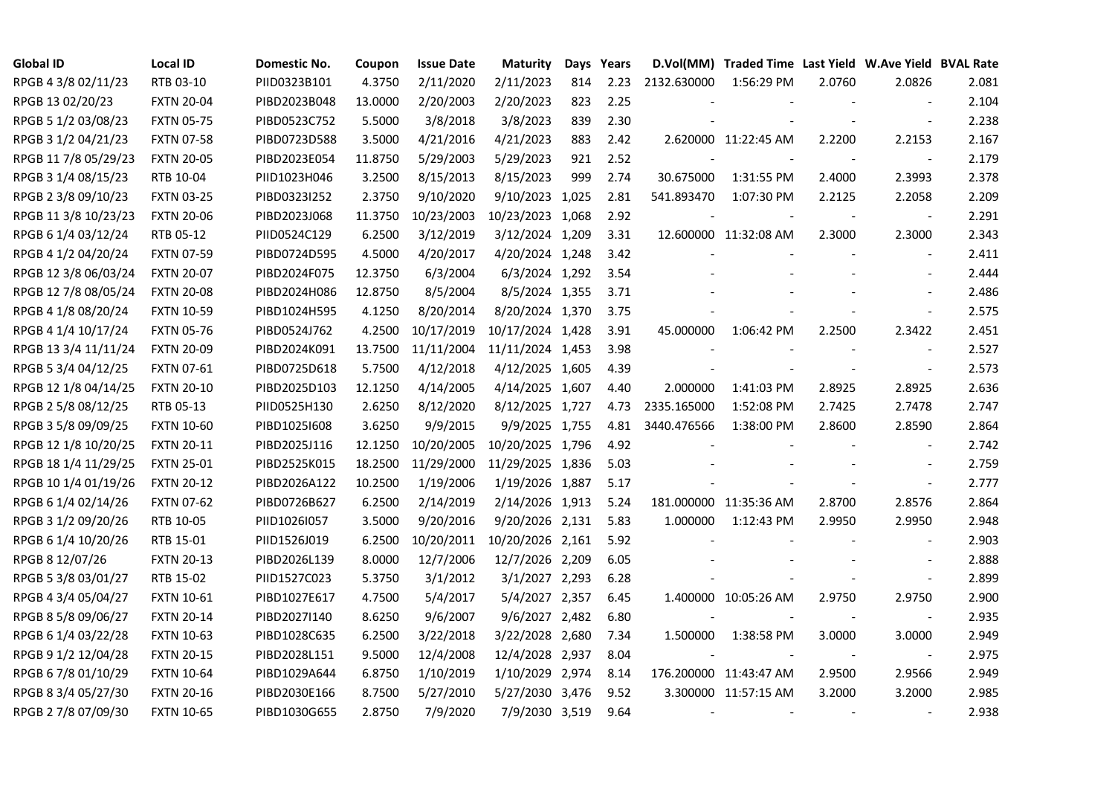| <b>Global ID</b>     | <b>Local ID</b>   | Domestic No. | Coupon  | <b>Issue Date</b> | <b>Maturity</b>  | Days | Years |                          | D.Vol(MM) Traded Time Last Yield W.Ave Yield BVAL Rate |        |                          |       |
|----------------------|-------------------|--------------|---------|-------------------|------------------|------|-------|--------------------------|--------------------------------------------------------|--------|--------------------------|-------|
| RPGB 4 3/8 02/11/23  | RTB 03-10         | PIID0323B101 | 4.3750  | 2/11/2020         | 2/11/2023        | 814  | 2.23  | 2132.630000              | 1:56:29 PM                                             | 2.0760 | 2.0826                   | 2.081 |
| RPGB 13 02/20/23     | <b>FXTN 20-04</b> | PIBD2023B048 | 13.0000 | 2/20/2003         | 2/20/2023        | 823  | 2.25  |                          |                                                        |        |                          | 2.104 |
| RPGB 5 1/2 03/08/23  | <b>FXTN 05-75</b> | PIBD0523C752 | 5.5000  | 3/8/2018          | 3/8/2023         | 839  | 2.30  |                          |                                                        |        |                          | 2.238 |
| RPGB 3 1/2 04/21/23  | <b>FXTN 07-58</b> | PIBD0723D588 | 3.5000  | 4/21/2016         | 4/21/2023        | 883  | 2.42  |                          | 2.620000 11:22:45 AM                                   | 2.2200 | 2.2153                   | 2.167 |
| RPGB 11 7/8 05/29/23 | <b>FXTN 20-05</b> | PIBD2023E054 | 11.8750 | 5/29/2003         | 5/29/2023        | 921  | 2.52  |                          |                                                        |        | $\overline{\phantom{a}}$ | 2.179 |
| RPGB 3 1/4 08/15/23  | RTB 10-04         | PIID1023H046 | 3.2500  | 8/15/2013         | 8/15/2023        | 999  | 2.74  | 30.675000                | 1:31:55 PM                                             | 2.4000 | 2.3993                   | 2.378 |
| RPGB 2 3/8 09/10/23  | <b>FXTN 03-25</b> | PIBD0323I252 | 2.3750  | 9/10/2020         | 9/10/2023 1,025  |      | 2.81  | 541.893470               | 1:07:30 PM                                             | 2.2125 | 2.2058                   | 2.209 |
| RPGB 11 3/8 10/23/23 | <b>FXTN 20-06</b> | PIBD2023J068 | 11.3750 | 10/23/2003        | 10/23/2023 1,068 |      | 2.92  |                          |                                                        |        | $\overline{\phantom{a}}$ | 2.291 |
| RPGB 6 1/4 03/12/24  | RTB 05-12         | PIID0524C129 | 6.2500  | 3/12/2019         | 3/12/2024 1,209  |      | 3.31  |                          | 12.600000 11:32:08 AM                                  | 2.3000 | 2.3000                   | 2.343 |
| RPGB 4 1/2 04/20/24  | <b>FXTN 07-59</b> | PIBD0724D595 | 4.5000  | 4/20/2017         | 4/20/2024 1,248  |      | 3.42  |                          |                                                        |        | $\blacksquare$           | 2.411 |
| RPGB 12 3/8 06/03/24 | <b>FXTN 20-07</b> | PIBD2024F075 | 12.3750 | 6/3/2004          | 6/3/2024 1,292   |      | 3.54  |                          |                                                        |        |                          | 2.444 |
| RPGB 12 7/8 08/05/24 | <b>FXTN 20-08</b> | PIBD2024H086 | 12.8750 | 8/5/2004          | 8/5/2024 1,355   |      | 3.71  |                          |                                                        |        |                          | 2.486 |
| RPGB 4 1/8 08/20/24  | <b>FXTN 10-59</b> | PIBD1024H595 | 4.1250  | 8/20/2014         | 8/20/2024 1,370  |      | 3.75  |                          |                                                        |        | $\blacksquare$           | 2.575 |
| RPGB 4 1/4 10/17/24  | <b>FXTN 05-76</b> | PIBD0524J762 | 4.2500  | 10/17/2019        | 10/17/2024 1,428 |      | 3.91  | 45.000000                | 1:06:42 PM                                             | 2.2500 | 2.3422                   | 2.451 |
| RPGB 13 3/4 11/11/24 | <b>FXTN 20-09</b> | PIBD2024K091 | 13.7500 | 11/11/2004        | 11/11/2024 1,453 |      | 3.98  |                          |                                                        |        |                          | 2.527 |
| RPGB 5 3/4 04/12/25  | <b>FXTN 07-61</b> | PIBD0725D618 | 5.7500  | 4/12/2018         | 4/12/2025 1,605  |      | 4.39  |                          |                                                        |        |                          | 2.573 |
| RPGB 12 1/8 04/14/25 | <b>FXTN 20-10</b> | PIBD2025D103 | 12.1250 | 4/14/2005         | 4/14/2025 1,607  |      | 4.40  | 2.000000                 | 1:41:03 PM                                             | 2.8925 | 2.8925                   | 2.636 |
| RPGB 2 5/8 08/12/25  | RTB 05-13         | PIID0525H130 | 2.6250  | 8/12/2020         | 8/12/2025 1,727  |      | 4.73  | 2335.165000              | 1:52:08 PM                                             | 2.7425 | 2.7478                   | 2.747 |
| RPGB 3 5/8 09/09/25  | <b>FXTN 10-60</b> | PIBD10251608 | 3.6250  | 9/9/2015          | 9/9/2025 1,755   |      | 4.81  | 3440.476566              | 1:38:00 PM                                             | 2.8600 | 2.8590                   | 2.864 |
| RPGB 12 1/8 10/20/25 | <b>FXTN 20-11</b> | PIBD2025J116 | 12.1250 | 10/20/2005        | 10/20/2025 1,796 |      | 4.92  |                          |                                                        |        | $\overline{\phantom{a}}$ | 2.742 |
| RPGB 18 1/4 11/29/25 | <b>FXTN 25-01</b> | PIBD2525K015 | 18.2500 | 11/29/2000        | 11/29/2025 1,836 |      | 5.03  |                          |                                                        |        | $\sim$                   | 2.759 |
| RPGB 10 1/4 01/19/26 | <b>FXTN 20-12</b> | PIBD2026A122 | 10.2500 | 1/19/2006         | 1/19/2026 1,887  |      | 5.17  |                          |                                                        |        | $\blacksquare$           | 2.777 |
| RPGB 6 1/4 02/14/26  | <b>FXTN 07-62</b> | PIBD0726B627 | 6.2500  | 2/14/2019         | 2/14/2026 1,913  |      | 5.24  |                          | 181.000000 11:35:36 AM                                 | 2.8700 | 2.8576                   | 2.864 |
| RPGB 3 1/2 09/20/26  | RTB 10-05         | PIID1026I057 | 3.5000  | 9/20/2016         | 9/20/2026 2,131  |      | 5.83  | 1.000000                 | 1:12:43 PM                                             | 2.9950 | 2.9950                   | 2.948 |
| RPGB 6 1/4 10/20/26  | RTB 15-01         | PIID1526J019 | 6.2500  | 10/20/2011        | 10/20/2026 2,161 |      | 5.92  |                          |                                                        |        | $\blacksquare$           | 2.903 |
| RPGB 8 12/07/26      | <b>FXTN 20-13</b> | PIBD2026L139 | 8.0000  | 12/7/2006         | 12/7/2026 2,209  |      | 6.05  |                          |                                                        |        |                          | 2.888 |
| RPGB 5 3/8 03/01/27  | RTB 15-02         | PIID1527C023 | 5.3750  | 3/1/2012          | 3/1/2027 2,293   |      | 6.28  |                          |                                                        |        | $\blacksquare$           | 2.899 |
| RPGB 4 3/4 05/04/27  | <b>FXTN 10-61</b> | PIBD1027E617 | 4.7500  | 5/4/2017          | 5/4/2027 2,357   |      | 6.45  |                          | 1.400000 10:05:26 AM                                   | 2.9750 | 2.9750                   | 2.900 |
| RPGB 8 5/8 09/06/27  | <b>FXTN 20-14</b> | PIBD2027I140 | 8.6250  | 9/6/2007          | 9/6/2027 2,482   |      | 6.80  |                          |                                                        |        | $\overline{\phantom{a}}$ | 2.935 |
| RPGB 6 1/4 03/22/28  | <b>FXTN 10-63</b> | PIBD1028C635 | 6.2500  | 3/22/2018         | 3/22/2028 2,680  |      | 7.34  | 1.500000                 | 1:38:58 PM                                             | 3.0000 | 3.0000                   | 2.949 |
| RPGB 9 1/2 12/04/28  | <b>FXTN 20-15</b> | PIBD2028L151 | 9.5000  | 12/4/2008         | 12/4/2028 2,937  |      | 8.04  |                          |                                                        |        | $\blacksquare$           | 2.975 |
| RPGB 67/8 01/10/29   | <b>FXTN 10-64</b> | PIBD1029A644 | 6.8750  | 1/10/2019         | 1/10/2029 2,974  |      | 8.14  |                          | 176.200000 11:43:47 AM                                 | 2.9500 | 2.9566                   | 2.949 |
| RPGB 8 3/4 05/27/30  | <b>FXTN 20-16</b> | PIBD2030E166 | 8.7500  | 5/27/2010         | 5/27/2030 3,476  |      | 9.52  |                          | 3.300000 11:57:15 AM                                   | 3.2000 | 3.2000                   | 2.985 |
| RPGB 2 7/8 07/09/30  | <b>FXTN 10-65</b> | PIBD1030G655 | 2.8750  | 7/9/2020          | 7/9/2030 3,519   |      | 9.64  | $\overline{\phantom{a}}$ |                                                        |        |                          | 2.938 |